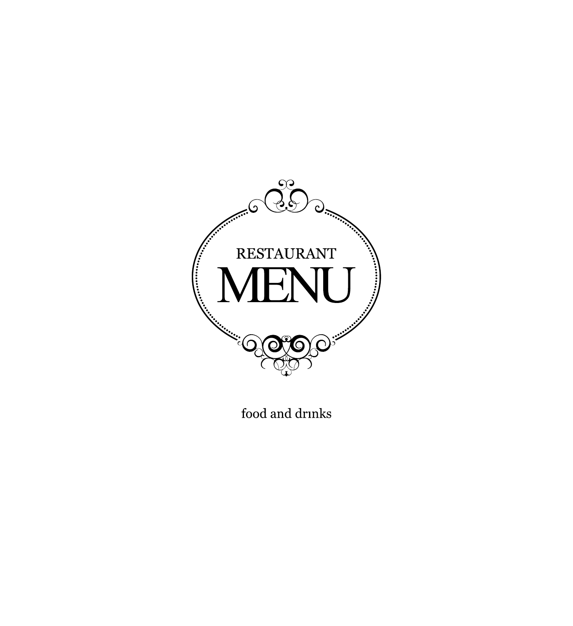

food and drinks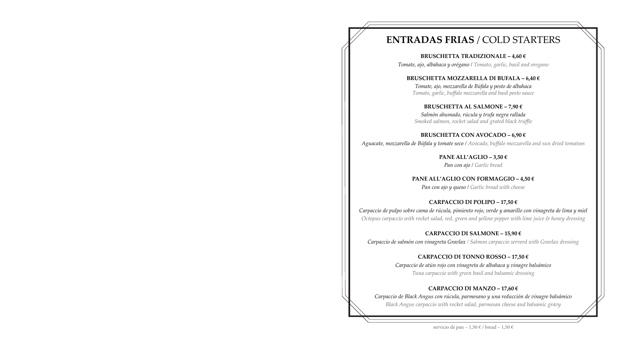# **ENTRADAS FRIAS** / COLD STARTERS

**BRUSCHETTA TRADIZIONALE – 4,60 €** *Tomate, ajo, albahaca y orégano / Tomato, garlic, basil and oregano* 

# **BRUSCHETTA MOZZARELLA DI BUFALA – 6,40 €**

*Tomate, ajo, mozzarella de Búfala y pesto de albahaca Tomato, garlic, buffalo mozzarella and basil pesto sauce* 

## **BRUSCHETTA AL SALMONE – 7,90 €**

*Salmón ahumado, rúcula y trufa negra rallada Smoked salmon, rocket salad and grated black truffle* 

**BRUSCHETTA CON AVOCADO – 6,90 €**  *Аguacate, mozzarella de Búfala y tomate seco / Аvocado, buffalo mozzarella and sun dried tomatoes*

**PANE ALL'AGLIO – 3,50 €**  *Pan con ajo / Garlic bread* 

### **PANE ALL'AGLIO CON FORMAGGIO – 4,50 €**  *Pan con ajo y queso / Garlic bread with cheese*

**CARPACCIO DI POLIPO – 17,50 €**  *Carpaccio de pulpo sobre cama de rúcula, pimiento rojo, verde y amarillo con vinagreta de lima y miel Octopus carpaccio with rocket salad, red, green and yellow pepper with lime juice & honey dressing*

**CARPACCIO DI SALMONE – 15,90 €**  *Carpaccio de salmón con vinagreta Gravlax / Salmon carpaccio serverd with Gravlax dressing*

### **CARPACCIO DI TONNO ROSSO – 17,50 €**

*Carpaccio de atún rojo con vinagreta de albahaca y vinagre balsámico Tuna carpaccio with green basil and balsamic dressing* 

## **CARPACCIO DI MANZO – 17,60 €**

*Carpaccio de Black Angus con rúcula, parmesano y una reducción de vinagre balsámico Black Angus carpaccio with rocket salad, parmesan cheese and balsamic gravy*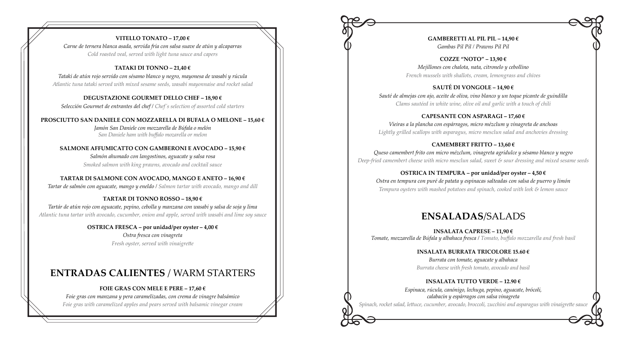### **VITELLO TONATO – 17,00 €**

*Carne de ternera blanca asada, servida fría con salsa suave de atún y alcaparras Cold roasted veal, served with light tuna sauce and capers*

#### **TATAKI DI TONNO – 21,40 €**

*Tataki de atún rojo servido con sésamo blanco y negro, mayonesa de wasabi y rúcula Atlantic tuna tataki served with mixed sesame seeds, wasabi mayonnaise and rocket salad*

**DEGUSTAZIONE GOURMET DELLO CHEF – 18,90 €**  *Selección Gourmet de entrantes del chef / Chef´s selection of assorted cold starters* 

**PROSCIUTTO SAN DANIELE CON MOZZARELLA DI BUFALA О MELONE – 15,60 €**  *Jamón San Daniele con mozzarella de Búfala о melón San Daniele ham with buffalo mozarella or melon* 

**SALMONE AFFUMICATTO CON GAMBERONI E AVOCADO – 15,90 €**  *Salmón ahumado con langostinos, aguacate y salsa rosa Smoked salmon with king prawns, avocado and cocktail sauce* 

### **TARTAR DI SALMONE CON AVOCADO, MANGO E ANETO – 16,90 €**

*Tartar de salmón con aguacate, mango y eneldo / Salmon tartar with avocado, mango and dill*

### **TARTAR DI TONNO ROSSO – 18,90 €**

*Tartár de atún rojo con aguacate, pepino, cebolla y manzana con wasabi y salsa de soja y lima Atlantic tuna tartar with avocado, cucumber, onion and apple, served with wasabi and lime soy sauce*

> **OSTRICA FRESCA – por unidad/per oyster – 4,00 €** *Ostra fresca con vinagreta Fresh oyster, served with vinaigrette*

# **ENTRADAS CALIENTES** / WARM STARTERS

#### **FOIE GRAS CON MELE E PERE – 17,60 €**

*Foie gras con manzana y pera caramelizadas, con crema de vinagre balsámico Foie gras with caramelized apples and pears served with balsamic vinegar cream* **GAMBERETTI AL PIL PIL – 14,90 €**  *Gambas Pil Pil / Prawns Pil Pil* 

**COZZE "NOTO" – 13,90 €**  *Mejillones con chalota, nata, citronelo y cebollino French mussels with shallots, cream, lemongrass and chives* 

**SAUTÉ DI VONGOLE – 14,90 €** *Sauté de almejas con ajo, aceite de oliva, vino blanco y un toque picante de guindilla Clams sautéed in white wine, olive oil and garlic with a touch of chili* 

**CAPESANTE CON ASPARAGI – 17,60 €**  *Vieiras a la plancha con espárragos, micro mézclum y vinagreta de anchoas Lightly grilled scallops with asparagus, micro mesclun salad and anchovies dressing* 

**CAMEMBERT FRITTO – 13,60 €**  *Queso camеmbert frito con micro mézclum, vinagreta agridulce y sésamo blanco y negro Deep-fried camembert cheese with micro mesclun salad, sweet & sour dressing and mixed sesame seeds*

**OSTRICA IN TEMPURA – por unidad/per oyster – 4,50 €**  *Ostra en tempura con puré de patata y espinacas salteadas con salsa de puerro y limón Tempura oysters with mashed potatoes and spinach, cooked with leek & lemon sauce*

# **ENSALADAS**/SALADS

**INSALATA CAPRESE – 11,90 €**  *Tomate, mozzarella de Búfala y albahaca fresca / Tomato, buffalo mozzarella and fresh basil* 

## **INSALATA BURRATA TRICOLORE 15.60 €**

*Burrata con tomate, aguacate y albahaca Burrata cheese with fresh tomato, avocado and basil*

### **INSALATA TUTTO VERDE – 12.90 €**

*Espinaca, rúcula, canónigo, lechuga, pepino, aguacate, brócoli, calabacin y espárragos con salsa vinagreta Spinach, rocket salad, lettuce, cucumber, avocado, broccoli, zucchini and asparagus with vinaigrette sauce*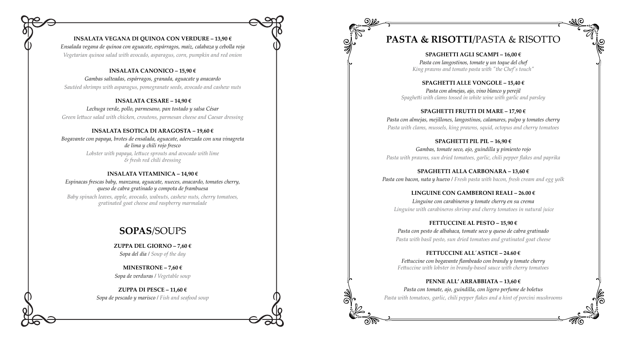

*Ensalada vegana de quínoa con aguacate, espárragos, maíz, calabaza y cebolla roja Vegetarian quinoa salad with avocado, asparagus, corn, pumpkin and red onion*

#### **INSALATA CANONICO – 15,90 €**

*Gambas salteadas, espárragos, granada, aguacate y anacardo Sautéed shrimps with asparagus, pomegranate seeds, avocado and cashew nuts*

#### **INSALATA CESARE – 14,90 €**

*Lechuga verde, pollo, parmesano, pan tostado y salsa César Green lettuce salad with chicken, croutons, parmesan cheese and Caesar dressing*

#### **INSALATA ESOTICA DI ARAGOSTA – 19,60 €**

**MINESTRONE – 7,60**  $\epsilon$ *Sopa de verduras / Vegetable soup*

*Bogavante con papaya, brotes de ensalada, aguacate, aderezada con una vinagreta de lima y chili rojo fresco* 

> *Lobster with papaya, lettuce sprouts and avocado with lime & fresh red chili dressing*

#### **INSALATA VITAMINICA – 14,90 €**

*Espinacas frescas baby, manzana, aguacate, nueces, anacardo, tomates cherry, queso de cabra gratinado y compota de frambuesa* 

*Baby spinach leaves, apple, avocado, walnuts, cashew nuts, cherry tomatoes, gratinated goat cheese and raspberry marmalade* 

# **SOPAS**/SOUPS

**ZUPPA DEL GIORNO – 7,60 €**  *Sopa del día / Soup of the day* 

**ZUPPA DI PESCE – 11,60 €**  *Sopa de pescado y marisco / Fish and seafood soup*



# **PASTA & RISOTTI**/PASTA & RISOTTO

**SPAGHETTI AGLI SCAMPI – 16,00 €**  *Pasta con langostinos, tomate y un toque del chef King prawns and tomato pasta with "the Chef's touch"* 

## **SPAGHETTI ALLE VONGOLE – 15,40 €**

*Pasta con almejas, ajo, vino blanco y perejil Spaghetti with clams tossed in white wine with garlic and parsley* 

### **SPAGHETTI FRUTTI DI MARE – 17,90 €**  *Pasta con almejas, mejillones, langostinos, calamares, pulpo y tomates cherry Pasta with clams, mussels, king prawns, squid, octopus and cherry tomatoes*

# **SPAGHETTI PIL PIL – 16,90 €**  *Gambas, tomate seco, ajo, guindilla y pimiento rojo*

*Pasta with prawns, sun dried tomatoes, garlic, chili pepper flakes and paprika*

**SPAGHETTI ALLA CARBONARA – 13,60 €**  *Pasta con bacon, nata y huevo / Fresh pasta with bacon, fresh cream and egg yolk*

**LINGUINE CON GAMBERONI REALI – 26.00 €** *Linguine con carabineros y tomate cherry en su crema Linguine with carabineros shrimp and cherry tomatoes in natural juice*

## **FETTUCCINE AL PESTO – 15,90 €**

*Pasta con pesto de albahaca, tomate seco y queso de cabra gratinado Pasta with basil pesto, sun dried tomatoes and gratinated goat cheese*

**FETTUCCINE ALL´ASTICE – 24.60 €** *Fettuccine con bogavante flambeado con brandy y tomate cherry Fettuccine with lobster in brandy-based sauce with cherry tomatoes*

## **PENNE ALL' ARRABBIATA – 13,60 €**

*Pasta con tomate, ajo, guindilla, con ligero perfume de boletus Pasta with tomatoes, garlic, chili pepper flakes and a hint of porcini mushrooms*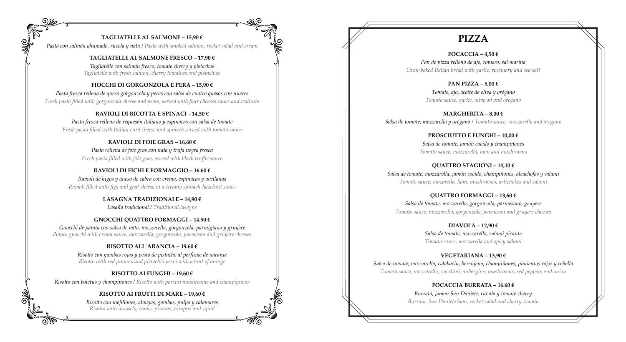### **TAGLIATELLE AL SALMONE – 15,90 €**

*Pasta con salmón ahumado, rúcola y nata / Pasta with smoked salmon, rocket salad and cream*

#### **TAGLIATELLE AL SALMONE FRESCO – 17.90 €**

*Tagliatelle con salmón fresco, tomate cherry y pistachos Tagliatelle with fresh salmon, cherry tomatoes and pistachios*

#### **FIOCCHI DI GORGONZOLA E PERA – 15,90 €**

*Pasta fresca rellena de queso gorgonzola y peras con salsa de cuatro quesos con nueces Fresh pasta filled with gorgonzola cheese and pears, served with four cheeses sauce and walnuts*

#### **RAVIOLI DI RICOTTA E SPINACI – 14,50 €**

*Pasta fresca rellena de requesón italiano y espinacas con salsa de tomate Fresh pasta filled with Italian curd cheese and spinach served with tomato sauce*

#### **RAVIOLI DI FOIE GRAS – 16,60 €**

*Pasta rellena de foie gras con nata y trufa negra fresca Fresh pasta filled with foie gras, served with black truffle sauce*

#### **RAVIOLI DI FICHI E FORMAGGIO – 16.60 €**

*Ravioli de higos y queso de cabra con crema, espinacas y avellanas Ravioli filled with figs and goat cheese in a creamy spinach-hazelnut sauce*

### **LASAGNA TRADIZIONALE – 14,90 €**

*Lasaña tradicional / Traditional lasagne*

#### **GNOCCHI QUATTRO FORMAGGI – 14.50 €**

*Gnocchi de patata con salsa de nata, mozzarella, gorgonzola, parmigiano y gruyère Potato gnocchi with cream sauce, mozzarella, gorgonzola, parmesan and gruyère cheeses*

#### **RISOTTO ALL´ARANCIA – 19.60 €**

*Risotto con gambas rojas y pesto de pistacho al perfume de naranja Risotto with red prawns and pistachio pesto with a hint of orange*

#### **RISOTTO AI FUNGHI – 19,60 €**

*Risotto con boletus y champiñones / Risotto with porcini mushrooms and champignons* 

#### **RISOTTO AI FRUTTI DI MARE – 19,60 €**

*Risotto con mejillones, almejas, gambas, pulpo y calamares Risotto with mussels, clams, prawns, octopus and squid*

# **PIZZA**

**FOCACCIA – 4,50 €**  *Pan de pizza relleno de ajo, romero, sal marina Oven-baked Italian bread with garlic, rosemary and sea salt* 

> **PAN PIZZA – 5,00 €**  *Tomate, ajo, aceite de oliva y orégano Tomato sauce, garlic, olive oil and oregano*

**MARGHERITA – 8,00 €** *Salsa de tomate, mozzarella y orégano / Tomato sauce, mozzarella and oregano* 

> **PROSCIUTTO E FUNGHI – 10,00 €**  *Salsa de tomate, jamón cocido y champiñones Tomato sauce, mozzarella, ham and mushrooms*

**QUATTRO STAGIONI – 14,10 €** *Salsa de tomate, mozzarella, jamón cocido, champiñones, alcachofas y salami Tomato sauce, mozarella, ham, mushrooms, artichokes and salami* 

**QUATTRO FORMAGGI – 13,60 €**  *Salsa de tomate, mozzarella, gorgonzola, parmesano, gruyere Tomato sauce, mozzarella, gorgonzola, parmesan and gruyere cheeses* 

**DIAVOLA – 12,90 €**  *Salsa de tomate, mozzarella, salami picante Tomato sauce, mozzarella and spicy salami* 

**VEGETARIANA – 13,90 €**  *Salsa de tomate, mozzarella, calabacín, berenjena, champiñones, pimientos rojos y cebolla Tomato sauce, mozzarella, zucchini, aubergine, mushrooms, red peppers and onion* 

> **FOCACCIA BURRATA – 16.60 €**  *Burrata, jamon San Daniele, rúcula y tomate cherry Burrata, San Daniele ham, rocket salad and cherry tomato*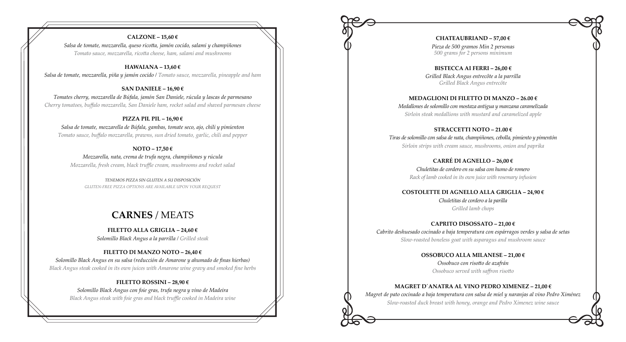#### **CALZONE – 15,60 €**

*Salsa de tomate, mozzarella, queso ricotta, jamón cocido, salami y champiñones Tomato sauce, mozzarella, ricotta cheese, ham, salami and mushrooms* 

#### **HAWAIANA – 13,60 €**

*Salsa de tomate, mozzarella, piña y jamón cocido / Tomato sauce, mozzarella, pineapple and ham* 

#### **SAN DANIELE – 16,90 €**

*Tomates cherry, mozzarella de Búfala, jamón San Daniele, rúcula y lascas de parmesano Cherry tomatoes, buffalo mozzarella, San Daniele ham, rocket salad and shaved parmesan cheese* 

### **PIZZA PIL PIL – 16,90 €**

*Salsa de tomate, mozzarella de Búfala, gambas, tomate seco, ajo, chili y pimienton Tomato sauce, buffalo mozzarella, prawns, sun dried tomato, garlic, chili and pepper*

### **NOTO – 17,50 €**

*Mozzarella, nata, crema de trufa negra, champiñones y rúcula Mozzarella, fresh cream, black truffle cream, mushrooms and rocket salad* 

*TENEMOS PIZZA SIN GLUTEN A SU DISPOSICIÓN GLUTEN-FREE PIZZA OPTIONS ARE AVAILABLE UPON YOUR REQUEST*

# **CARNES** / MEATS

# **FILETTO ALLA GRIGLIA – 24,60 €**

*Solomillo Black Angus a la parrilla / Grilled steak* 

### **FILETTO DI MANZO NOTO – 26,40 €**

*Solomillo Black Angus en su salsa (reducción de Amarone y ahumado de finas hierbas) Black Angus steak cooked in its own juices with Amarone wine gravy and smoked fine herbs* 

#### **FILETTO ROSSINI – 28,90 €**

*Solomillo Black Angus con foie gras, trufa negra y vino de Madeira Black Angus steak with foie gras and black truffle cooked in Madeira wine* 

**CHATEAUBRIAND – 57,00 €**  *Pieza de 500 gramos Min 2 personas 500 grams for 2 persons minimum* 

**BISTECCA AI FERRI – 26,00 €**  *Grilled Black Angus entrecôte а la parrilla Grilled Black Angus entrecôte* 

## **MEDAGLIONI DI FILETTO DI MANZO – 26.00 €**

*Medallones de solomillo con mostaza antigua y manzana caramelizada Sirloin steak medallions with mustard and caramelized apple*

**STRACCETTI NOTO – 21.00 €** *Tiras de solomillo con salsa de nata, champiñones, cebolla, pimiento y pimentón Sirloin strips with cream sauce, mushrooms, onion and paprika*

> **CARRÉ DI AGNELLO – 26,00 €** *Chuletitas de cordero en su salsa con humo de romero Rack of lamb cooked in its own juice with rosemary infusion*

## **COSTOLETTE DI AGNELLO ALLA GRIGLIA – 24,90 €**

*Chuletitas de cordero a la parilla Grilled lamb chops*

**CAPRITO DISOSSATO – 21,00 €**  *Cabrito deshuesado cocinado a baja temperatura con espárragos verdes y salsa de setas Slow-roasted boneless goat with asparagus and mushroom sauce*

### **OSSOBUCO ALLA MILANESE – 21,00 €**

*Ossobuco con risotto de azafrán Ossobuco served with saffron risotto* 

# **MAGRET D´ANATRA AL VINO PEDRO XIMENEZ – 21,00 €**

*Magret de pato cocinado a baja temperatura con salsa de miel y naranjas al vino Pedro Ximénez Slow-roasted duck breast with honey, orange and Pedro Ximenez wine sauce*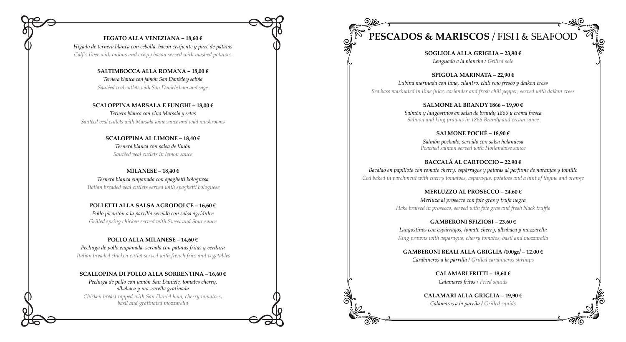#### **FEGATO ALLA VENEZIANA – 18,60 €**

*Hígado de ternera blanca con cebolla, bacon crujiente y puré de patatas Calf's liver with onions and crispy bacon served with mashed potatoes*

#### **SALTIMBOCCA ALLA ROMANA – 18,00 €**

*Ternera blanca con jamón San Daniele y salvia Sautéed veal cutlets with San Daniele ham and sage* 

#### **SCALOPPINA MARSALA E FUNGHI – 18,00 €**

*Ternera blanca con vino Marsala y setas Sautéed veal cutlets with Marsala wine sauce and wild mushrooms* 

> **SCALOPPINA AL LIMONE – 18,40 €** *Ternera blanca con salsa de limón Sautéed veal cutlets in lemon sauce*

**MILANESE – 18,40 €**  *Ternera blanca empanada con spaghetti bolognesa Italian breaded veal cutlets served with spaghetti bolognese* 

**POLLETTI ALLA SALSA AGRODOLCE – 16,60 €** *Pollo picantón a la parrilla servido con salsa agridulce Grilled spring chicken served with Sweet and Sour sauce* 

#### **POLLO ALLA MILANESE – 14,60 €**

*Pechuga de pollo empanada, servida con patatas fritas y verdura Italian breaded chicken cutlet served with french fries and vegetables* 

#### **SCALLOPINA DI POLLO ALLA SORRENTINA – 16,60 €**

*Pechuga de pollo con jamón San Daniele, tomates cherry, albahaca y mozzarella gratinada* 

*Chicken breast topped with San Daniel ham, cherry tomatoes, basil and gratinated mozzarella* 



# **PESCADOS & MARISCOS** / FISH & SEAFOOD

**SOGLIOLA ALLA GRIGLIA – 23,90 €**  *Lenguado a la plancha / Grilled sole* 

**SPIGOLA MARINATA – 22,90 €**  *Lubina marinada con lima, cilantro, chili rojo fresco y daikon cress Sea bass marinated in lime juice, coriander and fresh chili pepper, served with daikon cress* 

> **SALMONE AL BRANDY 1866 – 19,90 €**  *Salmón y langostinos en salsa de brandy 1866 y crema fresca Salmon and king prawns in 1866 Brandy and cream sauce*

# **SALMONE POCHÉ – 18,90 €**

*Salm ón pochado, servido con salsa holandesa Poached salmon served with Hollandaise sauce*

## **BACCALÁ AL CARTOCCIO – 22.90 €**

*Bacalao en papillote con tomate cherry, espárragos y patatas al perfume de naranjas у tomillo Cod baked in parchment with cherry tomatoes, asparagus, potatoes and a hint of thyme and orange*

## **MERLUZZO AL PROSECCO – 24.60 €**

*Merluza al prosecco con foie gras y trufa negra Hake braised in prosecco, served with foie gras and fresh black truffle*

**GAMBERONI SFIZIOSI – 23.60 €** *Langostinos con espárragos, tomate cherry, albahaca y mozzarella King prawns with asparagus, cherry tomatos, basil and mozzarella*

**GAMBERONI REALI ALLA GRIGLIA /100gr/ – 12.00 €** *Carabineros a la parrilla / Grilled carabineros shrimps* 

> **CALAMARI FRITTI – 18,60 €**  *Calamares fritos / Fried squids*

**CALAMARI ALLA GRIGLIA – 19,90 €** *Calamares a la parrila / Grilled squids*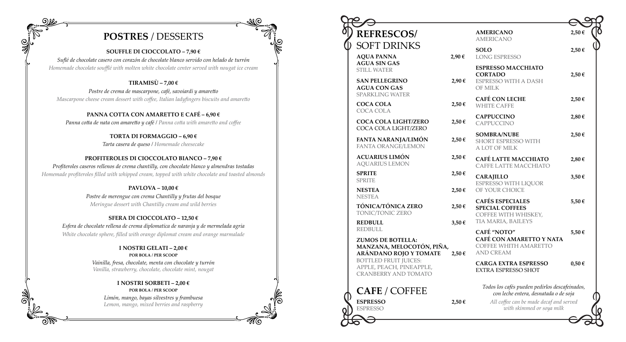

#### **SOUFFLE DI CIOCCOLATO – 7,90 €**

*Suflé de chocolate casero con corazón de chocolate blanco servido con helado de turrón Homemade chocolate soufflé with molten white chocolate center served with nougat ice cream*

## **TIRAMISÙ – 7,00 €**

*Postre de crema de mascarpone, café, savoiardi y amaretto Mascarpone cheese cream dessert with coffee, Italian ladyfingers biscuits and amaretto* 

## **PANNA COTTA CON AMARETTO E CAFÉ – 6,90 €**

*Panna cotta de nata con amaretto y café / Panna cotta with amaretto and coffee* 

#### **TORTA DI FORMAGGIO – 6,90 €**

*Tarta casera de queso / Homemade cheesecake* 

### **PROFITEROLES DI CIOCCOLATO BIANCO – 7,90 €**

*Profiteroles caseros rellenos de crema chantilly, con chocolate blanco y almendras tostadas Homemade profiteroles filled with whipped cream, topped with white chocolate and toasted almonds* 

#### **PAVLOVA – 10,00 €**

*Postre de merengue con crema Chantilly y frutas del bosque Meringue dessert with Chantilly cream and wild berries*

### **SFERA DI CIOCCOLATO – 12,50 €**

*Esfera de chocolate rellena de crema diplomatica de naranja y de mermelada agria White chocolate sphere, filled with orange diplomat cream and orange marmalade*

#### **I NOSTRI GELATI – 2,00 € POR BOLA / PER SCOOP**

*Vainilla, fresa, chocolate, menta con chocolate y turrón Vanilla, strawberry, chocolate, chocolate mint, nougat* 

> **I NOSTRI SORBETI – 2,00 € POR BOLA / PER SCOOP**

*Limón, mango, bayas silvestres y frambuesa Lemon, mango, mixed berries and raspberry* 



| <b>REFRESCOS/</b>                                                                                                                                                          |            | <b>AMERICANO</b><br><b>AMERICANO</b>                                                               | 2,50€      |  |
|----------------------------------------------------------------------------------------------------------------------------------------------------------------------------|------------|----------------------------------------------------------------------------------------------------|------------|--|
| SOFT DRINKS                                                                                                                                                                |            | <b>SOLO</b>                                                                                        | 2,50€      |  |
| <b>AQUA PANNA</b><br><b>AGUA SIN GAS</b>                                                                                                                                   | 2,90€      | <b>LONG ESPRESSO</b>                                                                               |            |  |
| <b>STILL WATER</b><br><b>SAN PELLEGRINO</b><br><b>AGUA CON GAS</b>                                                                                                         | 2,90€      | <b>ESPRESSO MACCHIATO</b><br><b>CORTADO</b><br><b>ESPRESSO WITH A DASH</b><br>OF MILK              | 2,50€      |  |
| <b>SPARKLING WATER</b><br><b>COCA COLA</b>                                                                                                                                 | 2,50€      | <b>CAFÉ CON LECHE</b><br><b>WHITE CAFFE</b>                                                        | 2,50€      |  |
| COCA COLA<br><b>COCA COLA LIGHT/ZERO</b>                                                                                                                                   | 2,50€      | <b>CAPPUCCINO</b><br><b>CAPPUCCINO</b>                                                             | 2,80€      |  |
| COCA COLA LIGHT/ZERO<br>FANTA NARANJA/LIMÓN<br><b>FANTA ORANGE/LEMON</b>                                                                                                   | 2,50€      | <b>SOMBRA/NUBE</b><br>SHORT ESPRESSO WITH<br>A LOT OF MILK                                         | 2,50€      |  |
| <b>ACUARIUS LIMÓN</b><br><b>AQUARIUS LEMON</b>                                                                                                                             | 2,50€      | CAFÉ LATTE MACCHIATO<br>CAFFE LATTE MACCHIATO                                                      | 2,80€      |  |
| <b>SPRITE</b><br><b>SPRITE</b>                                                                                                                                             | 2,50€      | <b>CARAJILLO</b><br><b>ESPRESSO WITH LIQUOR</b>                                                    | 3,50€      |  |
| <b>NESTEA</b><br><b>NESTEA</b>                                                                                                                                             | $2,50 \in$ | OF YOUR CHOICE                                                                                     |            |  |
| TÓNICA/TÓNICA ZERO<br>TONIC/TONIC ZERO                                                                                                                                     | 2,50€      | <b>CAFÉS ESPECIALES</b><br><b>SPECIAL COFFEES</b><br>COFFEE WITH WHISKEY,                          | 5,50€      |  |
| <b>REDBULL</b><br><b>REDBULL</b>                                                                                                                                           | $3,50 \in$ | TIA MARIA, BAILEYS                                                                                 |            |  |
| <b>ZUMOS DE BOTELLA:</b><br>MANZANA, MELOCOTÓN, PIÑA,<br>ARÁNDANO ROJO Y TOMATE<br><b>BOTTLED FRUIT JUICES:</b><br>APPLE, PEACH, PINEAPPLE,<br><b>CRANBERRY AND TOMATO</b> | $2,50 \in$ | CAFÉ "NOTO"<br><b>CAFÉ CON AMARETTO Y NATA</b><br><b>COFFEE WHITH AMARETTO</b><br><b>AND CREAM</b> | 5,50€      |  |
|                                                                                                                                                                            |            | <b>CARGA EXTRA ESPRESSO</b><br><b>EXTRA ESPRESSO SHOT</b>                                          | $0,50 \in$ |  |
| <b>CAFE / COFFEE</b>                                                                                                                                                       |            | Todos los cafés pueden pedirlos descafeinados,<br>con leche entera, desnatada o de soja            |            |  |
| <b>ESPRESSO</b><br><b>ESPRESSO</b>                                                                                                                                         | 2,50€      | All coffee can be made decaf and served<br>with skimmed or soya milk                               |            |  |
|                                                                                                                                                                            |            |                                                                                                    |            |  |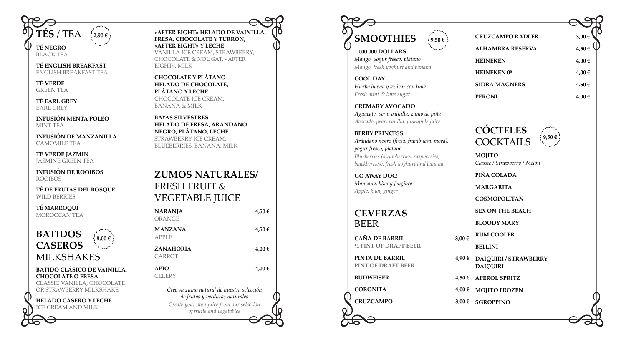

BLACK TEA

**TÉ ENGLISH BREAKFAST** ENGLISH BREAKFAST TEA

**TÉ VERDE** GREEN TEA

**TÉ EARL GREY** EARL GREY

**INFUSIÓN MENTA POLEO** MINT TEA

# **BATIDOS CASEROS** MILKSHAKES  $\frac{1}{2}$  8,00  $\in$

**INFUSIÓN DE MANZANILLA** CAMOMILE TEA

**TE VERDE JAZMIN** JASMINE GREEN TEA

**INFUSIÓN DE ROOIBOS** ROOIBOS

**TÉ DE FRUTAS DEL BOSQUE** WILD BERRIES

**TÉ MARROQUÍ** MOROCCAN TEA

#### **BATIDO CLÁSICO DE VAINILLA, CHOCOLATE O FRESA**

CLASSIC VANILLA, CHOCOLATE OR STRAWBERRY MILKSHAKE

# **HELADO CASERO Y LECHE**

ICE CREAM AND MILK

**«AFTER EIGHT» HELADO DE VAINILLA, FRESA, CHOCOLATE Y TURRON, «AFTER EIGHT» Y LECHE** VANILLA ICE CREAM, STRAWBERRY, CHOCOLATE & NOUGAT, «AFTER EIGHT», MILK

**CHOCOLATE Y PLÁTANO HELADO DE CHOCOLATE, PLÁTANO Y LECHE** CHOCOLATE ICE CREAM, BANANA & MILK

**BAYAS SILVESTRES HELADO DE FRESA, ARÁNDANO NEGRO, PLÁTANO, LECHE**  STRAWBERRY ICE CREAM, BLUEBERRIES, BANANA, MILK

> **PINTA DE BARRIL** 4,90 **PINT OF DRAFT BEER BUDWEISER** 4.50 **CORONITA 4,00 € CRUZCAMPO 3,00 €**

# **ZUMOS NATURALES/** FRESH FRUIT & VEGETABLE JUICE

| NARANJA<br>ORANGE                                                           | 4,50€ |
|-----------------------------------------------------------------------------|-------|
| <b>MANZANA</b><br>APPLE                                                     | 4,50€ |
| <b>ZANAHORIA</b><br>CARROT                                                  | 4,00€ |
| <b>APIO</b><br>CELERY                                                       | 4,00€ |
| Cree su zumo natural de nuestra selección<br>de frutas y verduras naturales |       |

*Create your own juice from our selection of fruits and vegetables*



# **1 000 000 DOLLARS**

*Mango, yogur fresco, plátano Mango, fresh yoghurt and banana*

**COOL DAY** *Hierba buena y azúcar con lima Fresh mint & lime sugar* 

### **CREMARY AVOCADO**

*Aguacate, pera, vainilla, zumo de piña Avocado, pear, vanilla, pineapple juice*

# **BERRY PRINCESS**

*Arándano negro (fresa, frambuesa, mora), yogur fresco, plátano Blueberries (strawberries, raspberries, blackberries), fresh yoghurt and banana* 

**GO AWAY DOC!** *Manzana, kiwi y jengibre Apple, kiwi, ginger*

# **CEVERZAS** BEER

**CAÑA DE BARRIL 3,00 € ½ PINT OF DRAFT BEER**

|   | <b>CRUZCAMPO RADLER</b>                           | $3,00$ € |
|---|---------------------------------------------------|----------|
|   | <b>ALHAMBRA RESERVA</b>                           | 4,50€    |
|   | <b>HEINEKEN</b>                                   | 4,00€    |
|   | <b>HEINEKEN 0°</b>                                | 4,00€    |
|   | <b>SIDRA MAGNERS</b>                              | 4.50€    |
|   | <b>PERONI</b>                                     | 4.00€    |
|   |                                                   |          |
|   | <b>CÓCTELES</b><br>$9,50 \in$<br><b>COCKTAILS</b> |          |
|   | <b>MOJITO</b><br>Classic / Strawberry / Melon     |          |
|   | PIÑA COLADA                                       |          |
|   | <b>MARGARITA</b>                                  |          |
|   | <b>COSMOPOLITAN</b>                               |          |
|   | <b>SEX ON THE BEACH</b>                           |          |
|   | <b>BLOODY MARY</b>                                |          |
| € | <b>RUM COOLER</b>                                 |          |
|   | <b>BELLINI</b>                                    |          |
| € | DAIQUIRI / STRAWBERRY<br><b>DAIQUIRI</b>          |          |
| € | <b>APEROL SPRITZ</b>                              |          |
| € | <b>MOJITO FROZEN</b>                              |          |
| € | <b>SGROPPINO</b>                                  |          |
|   |                                                   |          |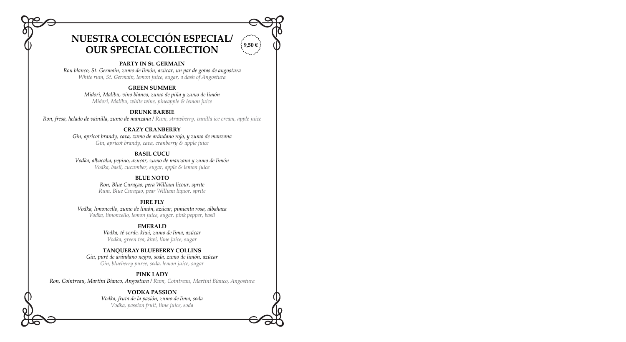# **NUESTRA COLECCIÓN ESPECIAL/ OUR SPECIAL COLLECTION**

### **PARTY IN St. GERMAIN**

*Ron blanco, St. Germain, zumo de limón, azúcar, un par de gotas de angostura White rum, St. Germain, lemon juice, sugar, a dash of Angostura* 

#### **GREEN SUMMER**

*Midori, Malibu, vino blanco, zumo de piña y zumo de limón Midori, Malibu, white wine, pineapple & lemon juice* 

# **DRUNK BARBIE**

*Ron, fresa, helado de vainilla, zumo de manzana / Rum, strawberry, vanilla ice cream, apple juice* 

#### **СRAZY CRANBERRY**

*Gin, apricot brandy, cava, zumo de arándano rojo, y zumo de manzana Gin, apricot brandy, cava, cranberry & apple juice*

### **BASIL CUCU**

*Vodka, albacaha, pepino, azucar, zumo de manzana y zumo de limón Vodka, basil, cucumber, sugar, apple & lemon juice*

## **BLUE NOTO**

*Ron, Blue Curaçao, pera William licour, sprite Rum, Blue Curaçao, pear William liquor, sprite*

#### **FIRE FLY**

*Vodka, limoncello, zumo de limón, azúcar, pimienta rosa, albahaca Vodka, limoncello, lemon juice, sugar, pink pepper, basil* 

#### **EMERALD**

*Vodka, té verde, kiwi, zumo de lima, azúcar Vodka, green tea, kiwi, lime juice, sugar* 

### **TANQUERAY BLUEBERRY COLLINS**

*Gin, puré de arándano negro, soda, zumo de limón, azúcar Gin, blueberry puree, soda, lemon juice, sugar* 

#### **PINK LADY**

*Ron, Сointreau, Martini Bianco, Angostura / Rum, Сointreau, Martini Bianco, Angostura* 

#### **VODKA PASSION**

*Vodka, fruta de la pasión, zumo de lima, soda Vodka, passion fruit, lime juice, soda* 

**9,50 €**